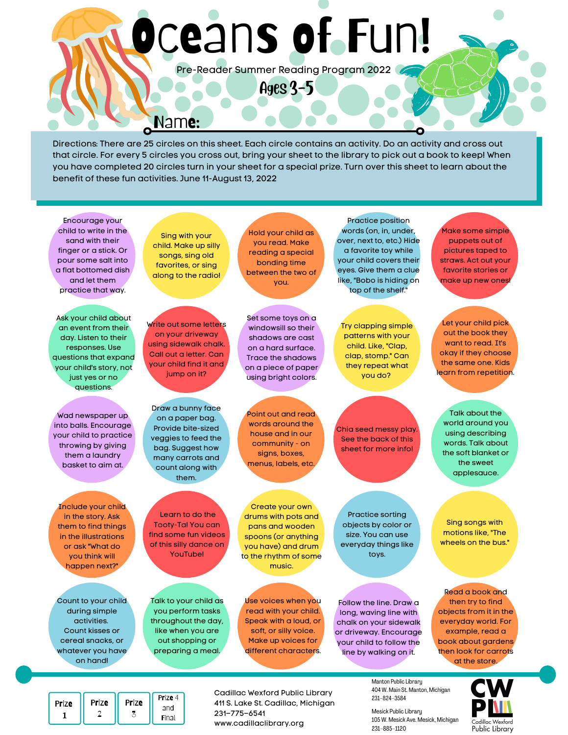# Oceans of Fun!

Pre-Reader Summer Reading Program 2022

Ages 3-5

Directions: There are 25 circles on this sheet. Each circle contains an activity. Do an activity and cross out that circle. For every 5 circles you cross out, bring your sheet to the library to pick out a book to keep! When you have completed 20 circles turn in your sheet for a special prize. Turn over this sheet to learn about the benefit of these fun activities. June 11-August 13, 2022

Encourage your child to write in the sand with their finger or a stick. Or pour some salt into a flat bottomed dish and let them practice that way.

Ask your child about an event from their day. Listen to their responses. Use questions that expand your child's story, not just yes or no questions.

Wad newspaper up into balls. Encourage your child to practice throwing by giving them a laundry basket to aim at.

Include your child in the story. Ask them to find things in the illustrations or ask "What do you think will happen next?"

Count to your child during simple activities. Count kisses or cereal snacks, or whatever you have on hand!

Sing with your child. Make up silly songs, sing old favorites, or sing along to the radio!

Name:

Write out some letters on your driveway using sidewalk chalk. Call out a letter. Can your child find it and jump on it?

Draw a bunny face on a paper bag. Provide bite-sized veggies to feed the bag. Suggest how many carrots and count along with them.

Learn to do the Tooty-Ta! You can find some fun videos of this silly dance on YouTube!

Talk to your child as you perform tasks throughout the day, like when you are out shopping or preparing a meal.

Hold your child as you read. Make reading a special bonding time between the two of you.

Set some toys on a windowsill so their shadows are cast on a hard surface. Trace the shadows on a piece of paper using bright colors.

Point out and read words around the house and in our community - on signs, boxes, menus, labels, etc.

Create your own drums with pots and pans and wooden spoons (or anything you have) and drum to the rhythm of some music.

Practice position words (on, in, under, over, next to, etc.) Hide a favorite toy while your child covers their eyes. Give them a clue like, "Bobo is hiding on top of the shelf."

Try clapping simple patterns with your child. Like, "Clap, clap, stomp." Can they repeat what you do?

Chia seed messy play. See the back of this sheet for more info!

Practice sorting objects by color or size. You can use everyday things like toys.

Follow the line. Draw a long, waving line with chalk on your sidewalk or driveway. Encourage your child to follow the line by walking on it.

puppets out of pictures taped to straws. Act out your favorite stories or make up new ones!

Make some simple

Let your child pick out the book they want to read. It's okay if they choose the same one. Kids learn from repetition.

Talk about the world around you using describing words. Talk about the soft blanket or the sweet applesauce.

Sing songs with motions like, "The wheels on the bus."

Read a book and then try to find objects from it in the everyday world. For example, read a book about gardens then look for carrots at the store.

| Prize | Prize | Prize | Prize 4 |  |
|-------|-------|-------|---------|--|
|       |       |       | and     |  |
|       |       |       | Final   |  |

Cadillac Wexford Public Library 411 S. Lake St. Cadillac, Michigan 231–775–6541 www.cadillaclibrary.org

Use voices when you read with your child. Speak with a loud, or soft, or silly voice. Make up voices for different characters.

> Manton Public Library 404 W. Main St. Manton, Michigan 231–824–3584

Mesick Public Library 105 W. Mesick Ave. Mesick, Michigan 231–885–1120